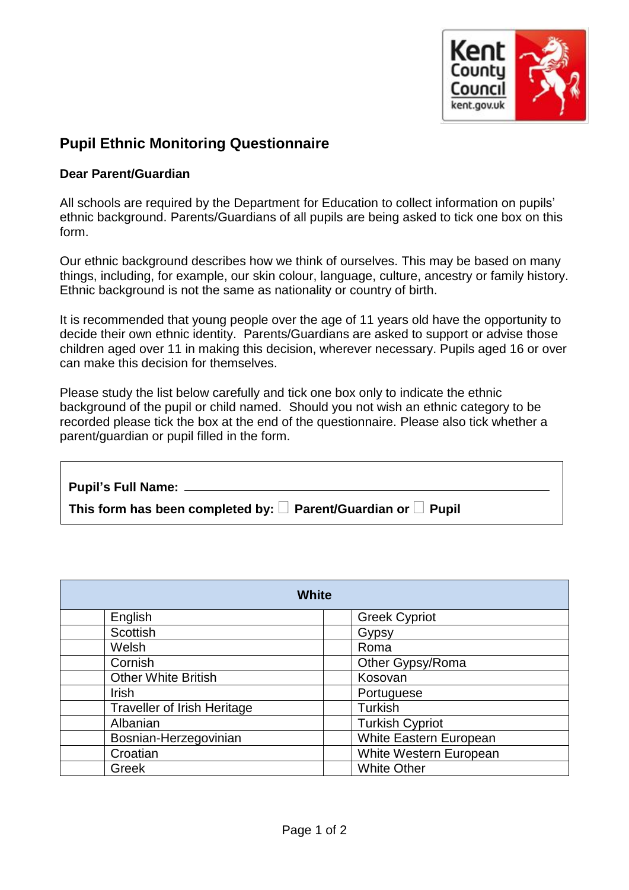

## **Pupil Ethnic Monitoring Questionnaire**

## **Dear Parent/Guardian**

All schools are required by the Department for Education to collect information on pupils' ethnic background. Parents/Guardians of all pupils are being asked to tick one box on this form.

Our ethnic background describes how we think of ourselves. This may be based on many things, including, for example, our skin colour, language, culture, ancestry or family history. Ethnic background is not the same as nationality or country of birth.

It is recommended that young people over the age of 11 years old have the opportunity to decide their own ethnic identity. Parents/Guardians are asked to support or advise those children aged over 11 in making this decision, wherever necessary. Pupils aged 16 or over can make this decision for themselves.

Please study the list below carefully and tick one box only to indicate the ethnic background of the pupil or child named. Should you not wish an ethnic category to be recorded please tick the box at the end of the questionnaire. Please also tick whether a parent/guardian or pupil filled in the form.

| Pupil's Full Name: ______                                                     |
|-------------------------------------------------------------------------------|
| This form has been completed by: $\square$ Parent/Guardian or $\square$ Pupil |
|                                                                               |

| <b>White</b>                       |                        |  |
|------------------------------------|------------------------|--|
| English                            | <b>Greek Cypriot</b>   |  |
| Scottish                           | Gypsy                  |  |
| Welsh                              | Roma                   |  |
| Cornish                            | Other Gypsy/Roma       |  |
| <b>Other White British</b>         | Kosovan                |  |
| <b>Irish</b>                       | Portuguese             |  |
| <b>Traveller of Irish Heritage</b> | Turkish                |  |
| Albanian                           | <b>Turkish Cypriot</b> |  |
| Bosnian-Herzegovinian              | White Eastern European |  |
| Croatian                           | White Western European |  |
| Greek                              | <b>White Other</b>     |  |